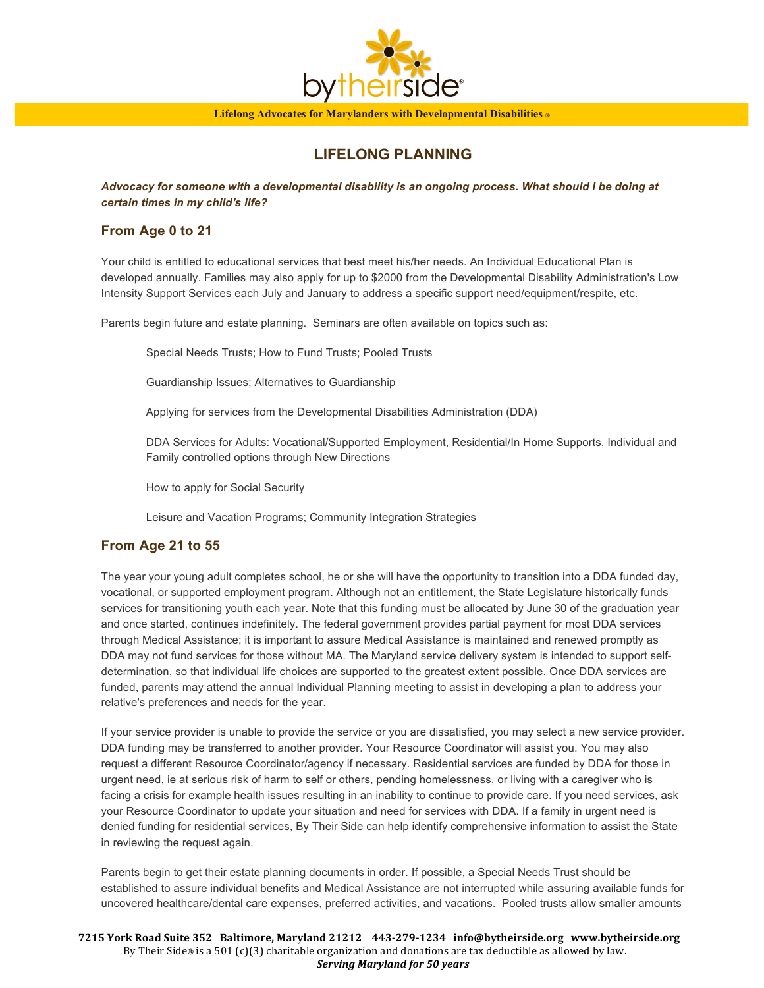

## **LIFELONG PLANNING**

*Advocacy for someone with a developmental disability is an ongoing process. What should I be doing at certain times in my child's life?*

### **From Age 0 to 21**

Your child is entitled to educational services that best meet his/her needs. An Individual Educational Plan is developed annually. Families may also apply for up to \$2000 from the Developmental Disability Administration's Low Intensity Support Services each July and January to address a specific support need/equipment/respite, etc.

Parents begin future and estate planning. Seminars are often available on topics such as:

Special Needs Trusts; How to Fund Trusts; Pooled Trusts

Guardianship Issues; Alternatives to Guardianship

Applying for services from the Developmental Disabilities Administration (DDA)

DDA Services for Adults: Vocational/Supported Employment, Residential/In Home Supports, Individual and Family controlled options through New Directions

How to apply for Social Security

Leisure and Vacation Programs; Community Integration Strategies

## **From Age 21 to 55**

The year your young adult completes school, he or she will have the opportunity to transition into a DDA funded day, vocational, or supported employment program. Although not an entitlement, the State Legislature historically funds services for transitioning youth each year. Note that this funding must be allocated by June 30 of the graduation year and once started, continues indefinitely. The federal government provides partial payment for most DDA services through Medical Assistance; it is important to assure Medical Assistance is maintained and renewed promptly as DDA may not fund services for those without MA. The Maryland service delivery system is intended to support selfdetermination, so that individual life choices are supported to the greatest extent possible. Once DDA services are funded, parents may attend the annual Individual Planning meeting to assist in developing a plan to address your relative's preferences and needs for the year.

If your service provider is unable to provide the service or you are dissatisfied, you may select a new service provider. DDA funding may be transferred to another provider. Your Resource Coordinator will assist you. You may also request a different Resource Coordinator/agency if necessary. Residential services are funded by DDA for those in urgent need, ie at serious risk of harm to self or others, pending homelessness, or living with a caregiver who is facing a crisis for example health issues resulting in an inability to continue to provide care. If you need services, ask your Resource Coordinator to update your situation and need for services with DDA. If a family in urgent need is denied funding for residential services, By Their Side can help identify comprehensive information to assist the State in reviewing the request again.

Parents begin to get their estate planning documents in order. If possible, a Special Needs Trust should be established to assure individual benefits and Medical Assistance are not interrupted while assuring available funds for uncovered healthcare/dental care expenses, preferred activities, and vacations. Pooled trusts allow smaller amounts

**7215 York Road Suite 352 Baltimore, Maryland 21212 443-279-1234 info@bytheirside.org www.bytheirside.org** By Their Side<sup>®</sup> is a 501 (c)(3) charitable organization and donations are tax deductible as allowed by law. **Serving Maryland for 50 years**